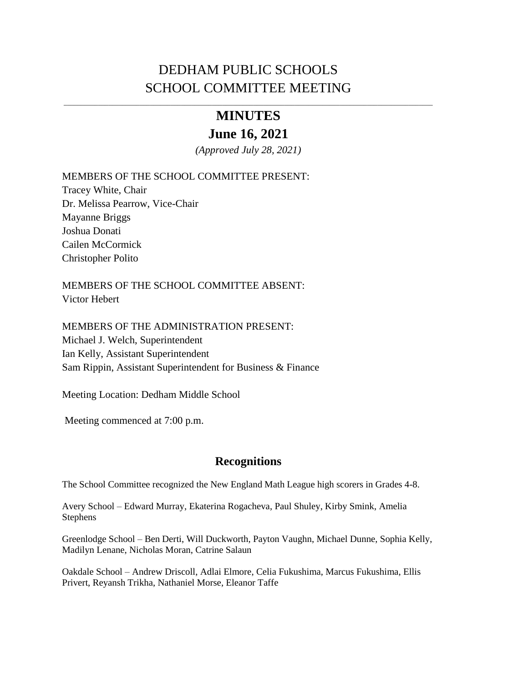# DEDHAM PUBLIC SCHOOLS SCHOOL COMMITTEE MEETING

## \_\_\_\_\_\_\_\_\_\_\_\_\_\_\_\_\_\_\_\_\_\_\_\_\_\_\_\_\_\_\_\_\_\_\_\_\_\_\_\_\_\_\_\_\_\_\_\_\_\_\_\_\_\_\_\_\_\_\_\_\_\_\_\_\_\_\_\_\_\_\_\_\_\_\_\_\_\_\_\_\_\_\_\_\_\_\_\_\_\_\_\_\_\_\_\_\_\_\_\_\_\_\_\_\_\_\_ **MINUTES**

# **June 16, 2021**

*(Approved July 28, 2021)*

MEMBERS OF THE SCHOOL COMMITTEE PRESENT:

Tracey White, Chair Dr. Melissa Pearrow, Vice-Chair Mayanne Briggs Joshua Donati Cailen McCormick Christopher Polito

MEMBERS OF THE SCHOOL COMMITTEE ABSENT: Victor Hebert

MEMBERS OF THE ADMINISTRATION PRESENT: Michael J. Welch, Superintendent Ian Kelly, Assistant Superintendent Sam Rippin, Assistant Superintendent for Business & Finance

Meeting Location: Dedham Middle School

Meeting commenced at 7:00 p.m.

## **Recognitions**

The School Committee recognized the New England Math League high scorers in Grades 4-8.

Avery School – Edward Murray, Ekaterina Rogacheva, Paul Shuley, Kirby Smink, Amelia Stephens

Greenlodge School – Ben Derti, Will Duckworth, Payton Vaughn, Michael Dunne, Sophia Kelly, Madilyn Lenane, Nicholas Moran, Catrine Salaun

Oakdale School – Andrew Driscoll, Adlai Elmore, Celia Fukushima, Marcus Fukushima, Ellis Privert, Reyansh Trikha, Nathaniel Morse, Eleanor Taffe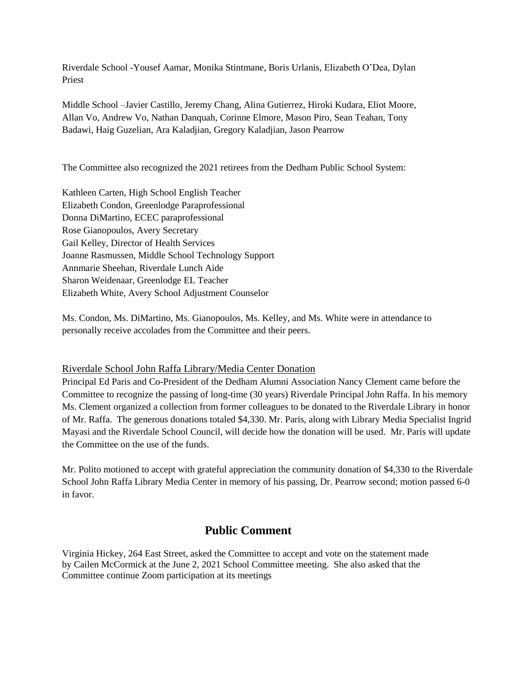Riverdale School -Yousef Aamar, Monika Stintmane, Boris Urlanis, Elizabeth O'Dea, Dylan Priest

Middle School –Javier Castillo, Jeremy Chang, Alina Gutierrez, Hiroki Kudara, Eliot Moore, Allan Vo, Andrew Vo, Nathan Danquah, Corinne Elmore, Mason Piro, Sean Teahan, Tony Badawi, Haig Guzelian, Ara Kaladjian, Gregory Kaladjian, Jason Pearrow

The Committee also recognized the 2021 retirees from the Dedham Public School System:

Kathleen Carten, High School English Teacher Elizabeth Condon, Greenlodge Paraprofessional Donna DiMartino, ECEC paraprofessional Rose Gianopoulos, Avery Secretary Gail Kelley, Director of Health Services Joanne Rasmussen, Middle School Technology Support Annmarie Sheehan, Riverdale Lunch Aide Sharon Weidenaar, Greenlodge EL Teacher Elizabeth White, Avery School Adjustment Counselor

Ms. Condon, Ms. DiMartino, Ms. Gianopoulos, Ms. Kelley, and Ms. White were in attendance to personally receive accolades from the Committee and their peers.

#### Riverdale School John Raffa Library/Media Center Donation

Principal Ed Paris and Co-President of the Dedham Alumni Association Nancy Clement came before the Committee to recognize the passing of long-time (30 years) Riverdale Principal John Raffa. In his memory Ms. Clement organized a collection from former colleagues to be donated to the Riverdale Library in honor of Mr. Raffa. The generous donations totaled \$4,330. Mr. Paris, along with Library Media Specialist Ingrid Mayasi and the Riverdale School Council, will decide how the donation will be used. Mr. Paris will update the Committee on the use of the funds.

Mr. Polito motioned to accept with grateful appreciation the community donation of \$4,330 to the Riverdale School John Raffa Library Media Center in memory of his passing, Dr. Pearrow second; motion passed 6-0 in favor.

## **Public Comment**

Virginia Hickey, 264 East Street, asked the Committee to accept and vote on the statement made by Cailen McCormick at the June 2, 2021 School Committee meeting. She also asked that the Committee continue Zoom participation at its meetings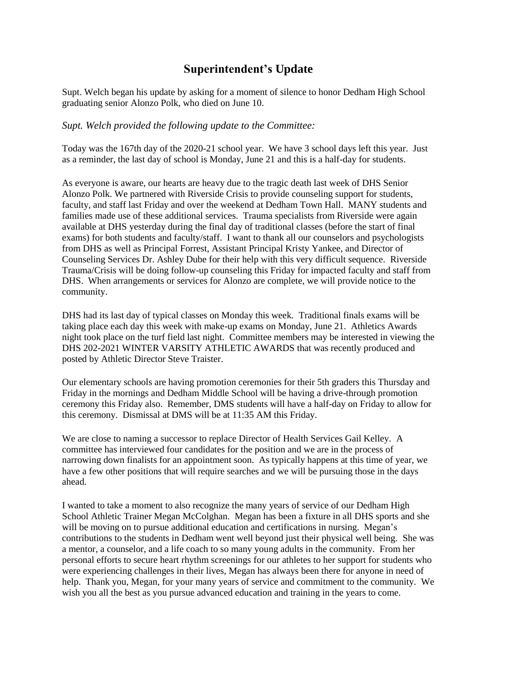## **Superintendent's Update**

Supt. Welch began his update by asking for a moment of silence to honor Dedham High School graduating senior Alonzo Polk, who died on June 10.

#### *Supt. Welch provided the following update to the Committee:*

Today was the 167th day of the 2020-21 school year. We have 3 school days left this year. Just as a reminder, the last day of school is Monday, June 21 and this is a half-day for students.

As everyone is aware, our hearts are heavy due to the tragic death last week of DHS Senior Alonzo Polk. We partnered with Riverside Crisis to provide counseling support for students, faculty, and staff last Friday and over the weekend at Dedham Town Hall. MANY students and families made use of these additional services. Trauma specialists from Riverside were again available at DHS yesterday during the final day of traditional classes (before the start of final exams) for both students and faculty/staff. I want to thank all our counselors and psychologists from DHS as well as Principal Forrest, Assistant Principal Kristy Yankee, and Director of Counseling Services Dr. Ashley Dube for their help with this very difficult sequence. Riverside Trauma/Crisis will be doing follow-up counseling this Friday for impacted faculty and staff from DHS. When arrangements or services for Alonzo are complete, we will provide notice to the community.

DHS had its last day of typical classes on Monday this week. Traditional finals exams will be taking place each day this week with make-up exams on Monday, June 21. Athletics Awards night took place on the turf field last night. Committee members may be interested in viewing the DHS 202-2021 WINTER VARSITY ATHLETIC AWARDS that was recently produced and posted by Athletic Director Steve Traister.

Our elementary schools are having promotion ceremonies for their 5th graders this Thursday and Friday in the mornings and Dedham Middle School will be having a drive-through promotion ceremony this Friday also. Remember, DMS students will have a half-day on Friday to allow for this ceremony. Dismissal at DMS will be at 11:35 AM this Friday.

We are close to naming a successor to replace Director of Health Services Gail Kelley. A committee has interviewed four candidates for the position and we are in the process of narrowing down finalists for an appointment soon. As typically happens at this time of year, we have a few other positions that will require searches and we will be pursuing those in the days ahead.

I wanted to take a moment to also recognize the many years of service of our Dedham High School Athletic Trainer Megan McColghan. Megan has been a fixture in all DHS sports and she will be moving on to pursue additional education and certifications in nursing. Megan's contributions to the students in Dedham went well beyond just their physical well being. She was a mentor, a counselor, and a life coach to so many young adults in the community. From her personal efforts to secure heart rhythm screenings for our athletes to her support for students who were experiencing challenges in their lives, Megan has always been there for anyone in need of help. Thank you, Megan, for your many years of service and commitment to the community. We wish you all the best as you pursue advanced education and training in the years to come.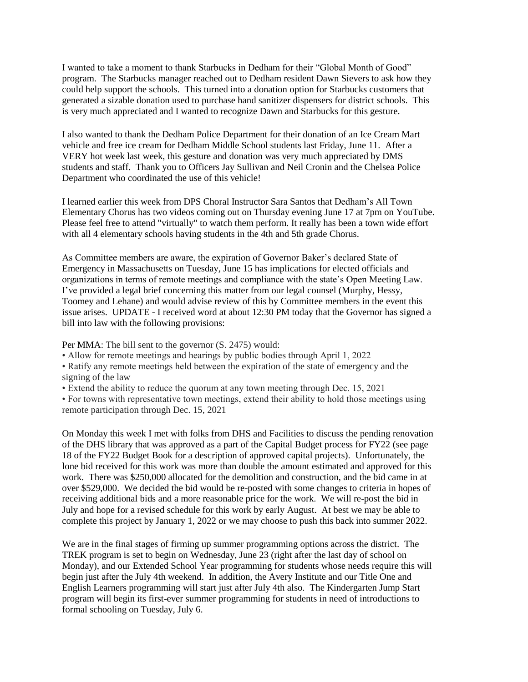I wanted to take a moment to thank Starbucks in Dedham for their "Global Month of Good" program. The Starbucks manager reached out to Dedham resident Dawn Sievers to ask how they could help support the schools. This turned into a donation option for Starbucks customers that generated a sizable donation used to purchase hand sanitizer dispensers for district schools. This is very much appreciated and I wanted to recognize Dawn and Starbucks for this gesture.

I also wanted to thank the Dedham Police Department for their donation of an Ice Cream Mart vehicle and free ice cream for Dedham Middle School students last Friday, June 11. After a VERY hot week last week, this gesture and donation was very much appreciated by DMS students and staff. Thank you to Officers Jay Sullivan and Neil Cronin and the Chelsea Police Department who coordinated the use of this vehicle!

I learned earlier this week from DPS Choral Instructor Sara Santos that Dedham's All Town Elementary Chorus has two videos coming out on Thursday evening June 17 at 7pm on YouTube. Please feel free to attend "virtually" to watch them perform. It really has been a town wide effort with all 4 elementary schools having students in the 4th and 5th grade Chorus.

As Committee members are aware, the expiration of Governor Baker's declared State of Emergency in Massachusetts on Tuesday, June 15 has implications for elected officials and organizations in terms of remote meetings and compliance with the state's Open Meeting Law. I've provided a legal brief concerning this matter from our legal counsel (Murphy, Hessy, Toomey and Lehane) and would advise review of this by Committee members in the event this issue arises. UPDATE - I received word at about 12:30 PM today that the Governor has signed a bill into law with the following provisions:

Per MMA: The bill sent to the governor (S. 2475) would:

- Allow for remote meetings and hearings by public bodies through April 1, 2022
- Ratify any remote meetings held between the expiration of the state of emergency and the signing of the law
- Extend the ability to reduce the quorum at any town meeting through Dec. 15, 2021
- For towns with representative town meetings, extend their ability to hold those meetings using remote participation through Dec. 15, 2021

On Monday this week I met with folks from DHS and Facilities to discuss the pending renovation of the DHS library that was approved as a part of the Capital Budget process for FY22 (see page 18 of the FY22 Budget Book for a description of approved capital projects). Unfortunately, the lone bid received for this work was more than double the amount estimated and approved for this work. There was \$250,000 allocated for the demolition and construction, and the bid came in at over \$529,000. We decided the bid would be re-posted with some changes to criteria in hopes of receiving additional bids and a more reasonable price for the work. We will re-post the bid in July and hope for a revised schedule for this work by early August. At best we may be able to complete this project by January 1, 2022 or we may choose to push this back into summer 2022.

We are in the final stages of firming up summer programming options across the district. The TREK program is set to begin on Wednesday, June 23 (right after the last day of school on Monday), and our Extended School Year programming for students whose needs require this will begin just after the July 4th weekend. In addition, the Avery Institute and our Title One and English Learners programming will start just after July 4th also. The Kindergarten Jump Start program will begin its first-ever summer programming for students in need of introductions to formal schooling on Tuesday, July 6.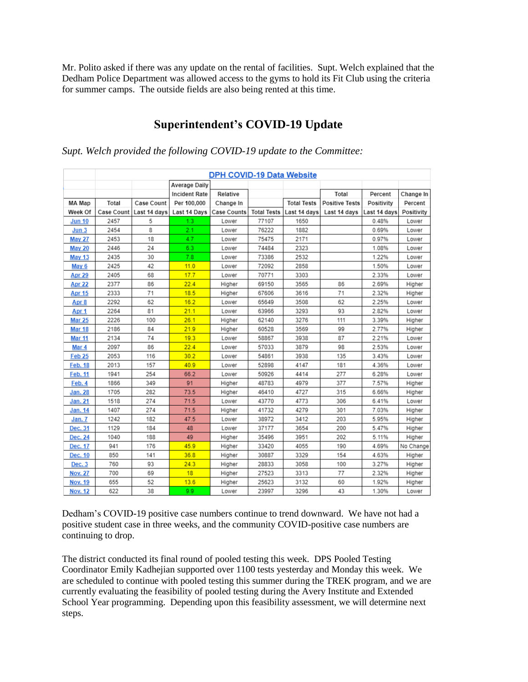Mr. Polito asked if there was any update on the rental of facilities. Supt. Welch explained that the Dedham Police Department was allowed access to the gyms to hold its Fit Club using the criteria for summer camps. The outside fields are also being rented at this time.

## **Superintendent's COVID-19 Update**

|                  | <b>DPH COVID-19 Data Website</b> |              |                      |                    |                    |                    |                       |              |            |  |
|------------------|----------------------------------|--------------|----------------------|--------------------|--------------------|--------------------|-----------------------|--------------|------------|--|
|                  |                                  |              | Average Daily        |                    |                    |                    |                       |              |            |  |
|                  |                                  |              | <b>Incident Rate</b> | Relative           |                    |                    | Total                 | Percent      | Change In  |  |
| MA Map           | Total                            | Case Count   | Per 100,000          | Change In          |                    | <b>Total Tests</b> | <b>Positive Tests</b> | Positivity   | Percent    |  |
| Week Of          | Case Count                       | Last 14 days | Last 14 Days         | <b>Case Counts</b> | <b>Total Tests</b> | Last 14 days       | Last 14 days          | Last 14 days | Positivity |  |
| <b>Jun 10</b>    | 2457                             | 5            | 1.3                  | Lower              | 77107              | 1650               |                       | 0.48%        | Lower      |  |
| Jun <sub>3</sub> | 2454                             | 8            | 2.1                  | Lower              | 76222              | 1882               |                       | 0.69%        | Lower      |  |
| <b>May 27</b>    | 2453                             | 18           | 4.7                  | Lower              | 75475              | 2171               |                       | 0.97%        | Lower      |  |
| <b>May 20</b>    | 2446                             | 24           | 6.3                  | Lower              | 74484              | 2323               |                       | 1.08%        | Lower      |  |
| <b>May 13</b>    | 2435                             | 30           | 7.8                  | Lower              | 73386              | 2532               |                       | 1.22%        | Lower      |  |
| May 6            | 2425                             | 42           | 11.0                 | Lower              | 72092              | 2858               |                       | 1.50%        | Lower      |  |
| <b>Apr 29</b>    | 2405                             | 68           | 17.7                 | Lower              | 70771              | 3303               |                       | 2.33%        | Lower      |  |
| Apr 22           | 2377                             | 86           | 22.4                 | Higher             | 69150              | 3565               | 86                    | 2.69%        | Higher     |  |
| <b>Apr 15</b>    | 2333                             | 71           | 18.5                 | Higher             | 67606              | 3616               | 71                    | 2.32%        | Higher     |  |
| Apr 8            | 2292                             | 62           | 16.2                 | Lower              | 65649              | 3508               | 62                    | 2.25%        | Lower      |  |
| Apr 1            | 2264                             | 81           | 21.1                 | Lower              | 63966              | 3293               | 93                    | 2.82%        | Lower      |  |
| <b>Mar 25</b>    | 2226                             | 100          | 26.1                 | Higher             | 62140              | 3276               | 111                   | 3.39%        | Higher     |  |
| <b>Mar 18</b>    | 2186                             | 84           | 21.9                 | Higher             | 60528              | 3569               | 99                    | 2.77%        | Higher     |  |
| <b>Mar 11</b>    | 2134                             | 74           | 19.3                 | Lower              | 58867              | 3938               | 87                    | 2.21%        | Lower      |  |
| Mar 4            | 2097                             | 86           | 22.4                 | Lower              | 57033              | 3879               | 98                    | 2.53%        | Lower      |  |
| <b>Feb 25</b>    | 2053                             | 116          | 30.2                 | Lower              | 54861              | 3938               | 135                   | 3.43%        | Lower      |  |
| <b>Feb. 18</b>   | 2013                             | 157          | 40.9                 | Lower              | 52898              | 4147               | 181                   | 4.36%        | Lower      |  |
| <b>Feb. 11</b>   | 1941                             | 254          | 66.2                 | Lower              | 50926              | 4414               | 277                   | 6.28%        | Lower      |  |
| Feb. 4           | 1866                             | 349          | 91                   | Higher             | 48783              | 4979               | 377                   | 7.57%        | Higher     |  |
| <b>Jan. 28</b>   | 1705                             | 282          | 73.5                 | Higher             | 46410              | 4727               | 315                   | 6.66%        | Higher     |  |
| <b>Jan. 21</b>   | 1518                             | 274          | 71.5                 | Lower              | 43770              | 4773               | 306                   | 6.41%        | Lower      |  |
| Jan. 14          | 1407                             | 274          | 71.5                 | Higher             | 41732              | 4279               | 301                   | 7.03%        | Higher     |  |
| Jan. 7           | 1242                             | 182          | 47.5                 | Lower              | 38972              | 3412               | 203                   | 5.95%        | Higher     |  |
| Dec. 31          | 1129                             | 184          | 48                   | Lower              | 37177              | 3654               | 200                   | 5.47%        | Higher     |  |
| Dec. 24          | 1040                             | 188          | 49                   | Higher             | 35496              | 3951               | 202                   | 5.11%        | Higher     |  |
| Dec. 17          | 941                              | 176          | 45.9                 | Higher             | 33420              | 4055               | 190                   | 4.69%        | No Change  |  |
| Dec. 10          | 850                              | 141          | 36.8                 | Higher             | 30887              | 3329               | 154                   | 4.63%        | Higher     |  |
| Dec. 3           | 760                              | 93           | 24.3                 | Higher             | 28833              | 3058               | 100                   | 3.27%        | Higher     |  |
| <b>Nov. 27</b>   | 700                              | 69           | 18                   | Higher             | 27523              | 3313               | 77                    | 2.32%        | Higher     |  |
| <b>Nov. 19</b>   | 655                              | 52           | 13.6                 | Higher             | 25623              | 3132               | 60                    | 1.92%        | Higher     |  |
| <b>Nov. 12</b>   | 622                              | 38           | 9.9                  | Lower              | 23997              | 3296               | 43                    | 1.30%        | Lower      |  |

#### *Supt. Welch provided the following COVID-19 update to the Committee:*

Dedham's COVID-19 positive case numbers continue to trend downward. We have not had a positive student case in three weeks, and the community COVID-positive case numbers are continuing to drop.

The district conducted its final round of pooled testing this week. DPS Pooled Testing Coordinator Emily Kadhejian supported over 1100 tests yesterday and Monday this week. We are scheduled to continue with pooled testing this summer during the TREK program, and we are currently evaluating the feasibility of pooled testing during the Avery Institute and Extended School Year programming. Depending upon this feasibility assessment, we will determine next steps.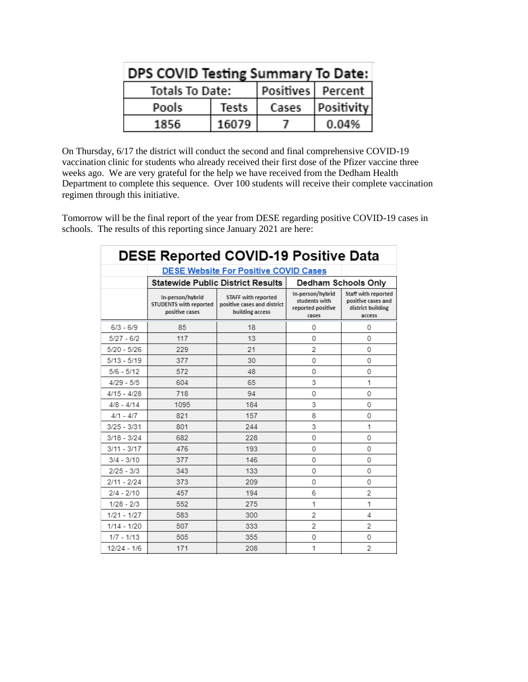| DPS COVID Testing Summary To Date: |       |                     |                   |  |  |  |  |  |
|------------------------------------|-------|---------------------|-------------------|--|--|--|--|--|
| Totals To Date:                    |       | Positives   Percent |                   |  |  |  |  |  |
| Pools                              | Tests | Cases               | <b>Positivity</b> |  |  |  |  |  |
| 1856.                              | 16079 |                     | 0.04%             |  |  |  |  |  |

On Thursday, 6/17 the district will conduct the second and final comprehensive COVID-19 vaccination clinic for students who already received their first dose of the Pfizer vaccine three weeks ago. We are very grateful for the help we have received from the Dedham Health Department to complete this sequence. Over 100 students will receive their complete vaccination regimen through this initiative.

Tomorrow will be the final report of the year from DESE regarding positive COVID-19 cases in schools. The results of this reporting since January 2021 are here:

| DESE Reported COVID-19 Positive Data         |                                                              |                                                                       |                                                                 |                                                                          |  |  |  |  |  |
|----------------------------------------------|--------------------------------------------------------------|-----------------------------------------------------------------------|-----------------------------------------------------------------|--------------------------------------------------------------------------|--|--|--|--|--|
| <b>DESE Website For Positive COVID Cases</b> |                                                              |                                                                       |                                                                 |                                                                          |  |  |  |  |  |
|                                              |                                                              | <b>Statewide Public District Results</b>                              | Dedham Schools Only                                             |                                                                          |  |  |  |  |  |
|                                              | In-person/hybrid<br>STUDENTS with reported<br>positive cases | STAFF with reported<br>positive cases and district<br>building access | In-person/hybrid<br>students with<br>reported positive<br>cases | Staff with reported<br>positive cases and<br>district building<br>access |  |  |  |  |  |
| $6/3 - 6/9$                                  | 85                                                           | 18                                                                    | $\Omega$                                                        | 0                                                                        |  |  |  |  |  |
| $5/27 - 6/2$                                 | 117                                                          | 13                                                                    | $\Omega$                                                        | 0                                                                        |  |  |  |  |  |
| $5/20 - 5/26$                                | 229                                                          | 21                                                                    | 2                                                               | $\Omega$                                                                 |  |  |  |  |  |
| $5/13 - 5/19$                                | 377                                                          | 30                                                                    | 0                                                               | 0                                                                        |  |  |  |  |  |
| $5/6 - 5/12$                                 | 572                                                          | 48                                                                    | $\Omega$                                                        | 0                                                                        |  |  |  |  |  |
| $4/29 - 5/5$                                 | 604                                                          | 65                                                                    | 3                                                               | 1                                                                        |  |  |  |  |  |
| $4/15 - 4/28$                                | 718                                                          | 94                                                                    | $\Omega$                                                        | 0                                                                        |  |  |  |  |  |
| $4/8 - 4/14$                                 | 1095                                                         | 184                                                                   | 3                                                               | 0                                                                        |  |  |  |  |  |
| $4/1 - 4/7$                                  | 821                                                          | 157                                                                   | 8                                                               | 0                                                                        |  |  |  |  |  |
| $3/25 - 3/31$                                | 801                                                          | 244                                                                   | 3                                                               | 1                                                                        |  |  |  |  |  |
| $3/18 - 3/24$                                | 682                                                          | 228                                                                   | 0                                                               | $\Omega$                                                                 |  |  |  |  |  |
| $3/11 - 3/17$                                | 476                                                          | 193                                                                   | $\Omega$                                                        | 0                                                                        |  |  |  |  |  |
| $3/4 - 3/10$                                 | 377                                                          | 146                                                                   | 0                                                               | 0                                                                        |  |  |  |  |  |
| $2/25 - 3/3$                                 | 343                                                          | 133                                                                   | $\Omega$                                                        | $\Omega$                                                                 |  |  |  |  |  |
| $2/11 - 2/24$                                | 373                                                          | 209                                                                   | $\Omega$                                                        | $\Omega$                                                                 |  |  |  |  |  |
| $2/4 - 2/10$                                 | 457                                                          | 194                                                                   | 6                                                               | 2                                                                        |  |  |  |  |  |
| $1/28 - 2/3$                                 | 552                                                          | 275                                                                   | 1                                                               | 1                                                                        |  |  |  |  |  |
| $1/21 - 1/27$                                | 583                                                          | 300                                                                   | 2                                                               | 4                                                                        |  |  |  |  |  |
| $1/14 - 1/20$                                | 507                                                          | 333                                                                   | $\overline{2}$                                                  | $\overline{2}$                                                           |  |  |  |  |  |
| $1/7 - 1/13$                                 | 505                                                          | 355                                                                   | 0                                                               | 0                                                                        |  |  |  |  |  |
| $12/24 - 1/6$                                | 171                                                          | 208                                                                   | 1                                                               | $\overline{2}$                                                           |  |  |  |  |  |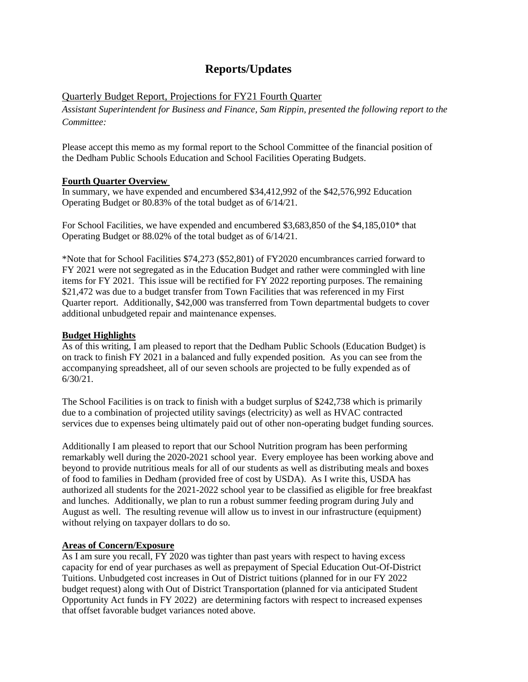## **Reports/Updates**

#### Quarterly Budget Report, Projections for FY21 Fourth Quarter

*Assistant Superintendent for Business and Finance, Sam Rippin, presented the following report to the Committee:*

Please accept this memo as my formal report to the School Committee of the financial position of the Dedham Public Schools Education and School Facilities Operating Budgets.

#### **Fourth Quarter Overview**

In summary, we have expended and encumbered \$34,412,992 of the \$42,576,992 Education Operating Budget or 80.83% of the total budget as of 6/14/21.

For School Facilities, we have expended and encumbered \$3,683,850 of the \$4,185,010\* that Operating Budget or 88.02% of the total budget as of 6/14/21.

\*Note that for School Facilities \$74,273 (\$52,801) of FY2020 encumbrances carried forward to FY 2021 were not segregated as in the Education Budget and rather were commingled with line items for FY 2021. This issue will be rectified for FY 2022 reporting purposes. The remaining \$21,472 was due to a budget transfer from Town Facilities that was referenced in my First Quarter report. Additionally, \$42,000 was transferred from Town departmental budgets to cover additional unbudgeted repair and maintenance expenses.

#### **Budget Highlights**

As of this writing, I am pleased to report that the Dedham Public Schools (Education Budget) is on track to finish FY 2021 in a balanced and fully expended position. As you can see from the accompanying spreadsheet, all of our seven schools are projected to be fully expended as of 6/30/21.

The School Facilities is on track to finish with a budget surplus of \$242,738 which is primarily due to a combination of projected utility savings (electricity) as well as HVAC contracted services due to expenses being ultimately paid out of other non-operating budget funding sources.

Additionally I am pleased to report that our School Nutrition program has been performing remarkably well during the 2020-2021 school year. Every employee has been working above and beyond to provide nutritious meals for all of our students as well as distributing meals and boxes of food to families in Dedham (provided free of cost by USDA). As I write this, USDA has authorized all students for the 2021-2022 school year to be classified as eligible for free breakfast and lunches. Additionally, we plan to run a robust summer feeding program during July and August as well. The resulting revenue will allow us to invest in our infrastructure (equipment) without relying on taxpayer dollars to do so.

#### **Areas of Concern/Exposure**

As I am sure you recall, FY 2020 was tighter than past years with respect to having excess capacity for end of year purchases as well as prepayment of Special Education Out-Of-District Tuitions. Unbudgeted cost increases in Out of District tuitions (planned for in our FY 2022 budget request) along with Out of District Transportation (planned for via anticipated Student Opportunity Act funds in FY 2022) are determining factors with respect to increased expenses that offset favorable budget variances noted above.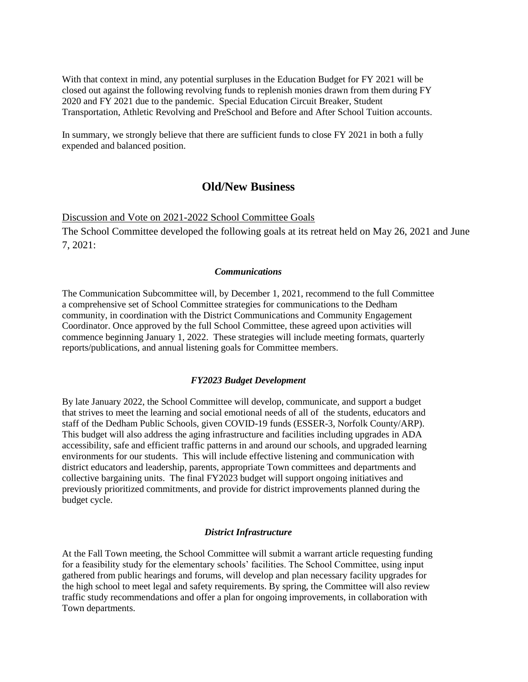With that context in mind, any potential surpluses in the Education Budget for FY 2021 will be closed out against the following revolving funds to replenish monies drawn from them during FY 2020 and FY 2021 due to the pandemic. Special Education Circuit Breaker, Student Transportation, Athletic Revolving and PreSchool and Before and After School Tuition accounts.

In summary, we strongly believe that there are sufficient funds to close FY 2021 in both a fully expended and balanced position.

### **Old/New Business**

Discussion and Vote on 2021-2022 School Committee Goals

The School Committee developed the following goals at its retreat held on May 26, 2021 and June 7, 2021:

#### *Communications*

The Communication Subcommittee will, by December 1, 2021, recommend to the full Committee a comprehensive set of School Committee strategies for communications to the Dedham community, in coordination with the District Communications and Community Engagement Coordinator. Once approved by the full School Committee, these agreed upon activities will commence beginning January 1, 2022. These strategies will include meeting formats, quarterly reports/publications, and annual listening goals for Committee members.

#### *FY2023 Budget Development*

By late January 2022, the School Committee will develop, communicate, and support a budget that strives to meet the learning and social emotional needs of all of the students, educators and staff of the Dedham Public Schools, given COVID-19 funds (ESSER-3, Norfolk County/ARP). This budget will also address the aging infrastructure and facilities including upgrades in ADA accessibility, safe and efficient traffic patterns in and around our schools, and upgraded learning environments for our students. This will include effective listening and communication with district educators and leadership, parents, appropriate Town committees and departments and collective bargaining units. The final FY2023 budget will support ongoing initiatives and previously prioritized commitments, and provide for district improvements planned during the budget cycle.

#### *District Infrastructure*

At the Fall Town meeting, the School Committee will submit a warrant article requesting funding for a feasibility study for the elementary schools' facilities. The School Committee, using input gathered from public hearings and forums, will develop and plan necessary facility upgrades for the high school to meet legal and safety requirements. By spring, the Committee will also review traffic study recommendations and offer a plan for ongoing improvements, in collaboration with Town departments.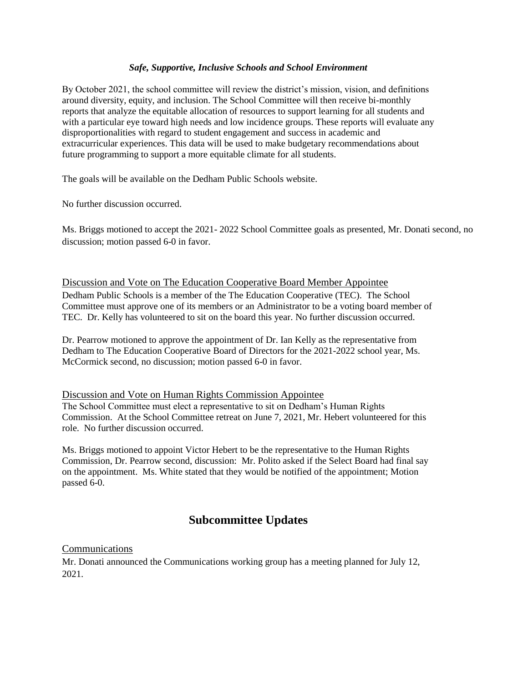#### *Safe, Supportive, Inclusive Schools and School Environment*

By October 2021, the school committee will review the district's mission, vision, and definitions around diversity, equity, and inclusion. The School Committee will then receive bi-monthly reports that analyze the equitable allocation of resources to support learning for all students and with a particular eye toward high needs and low incidence groups. These reports will evaluate any disproportionalities with regard to student engagement and success in academic and extracurricular experiences. This data will be used to make budgetary recommendations about future programming to support a more equitable climate for all students.

The goals will be available on the Dedham Public Schools website.

No further discussion occurred.

Ms. Briggs motioned to accept the 2021- 2022 School Committee goals as presented, Mr. Donati second, no discussion; motion passed 6-0 in favor.

#### Discussion and Vote on The Education Cooperative Board Member Appointee

Dedham Public Schools is a member of the The Education Cooperative (TEC). The School Committee must approve one of its members or an Administrator to be a voting board member of TEC. Dr. Kelly has volunteered to sit on the board this year. No further discussion occurred.

Dr. Pearrow motioned to approve the appointment of Dr. Ian Kelly as the representative from Dedham to The Education Cooperative Board of Directors for the 2021-2022 school year, Ms. McCormick second, no discussion; motion passed 6-0 in favor.

#### Discussion and Vote on Human Rights Commission Appointee

The School Committee must elect a representative to sit on Dedham's Human Rights Commission. At the School Committee retreat on June 7, 2021, Mr. Hebert volunteered for this role. No further discussion occurred.

Ms. Briggs motioned to appoint Victor Hebert to be the representative to the Human Rights Commission, Dr. Pearrow second, discussion: Mr. Polito asked if the Select Board had final say on the appointment. Ms. White stated that they would be notified of the appointment; Motion passed 6-0.

## **Subcommittee Updates**

#### Communications

Mr. Donati announced the Communications working group has a meeting planned for July 12, 2021.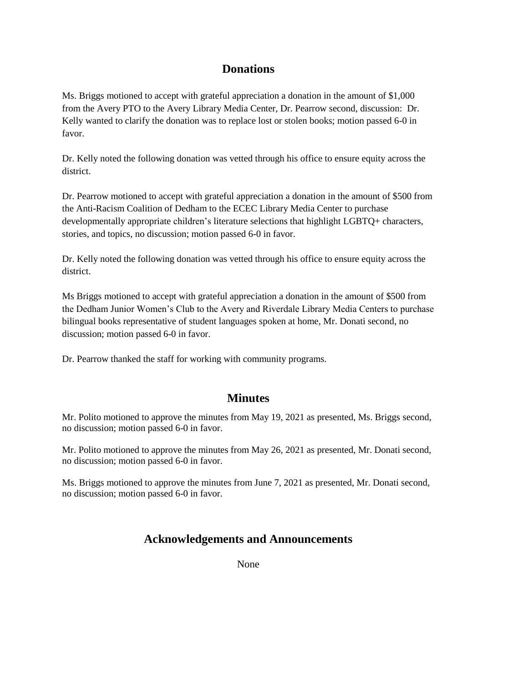## **Donations**

Ms. Briggs motioned to accept with grateful appreciation a donation in the amount of \$1,000 from the Avery PTO to the Avery Library Media Center, Dr. Pearrow second, discussion: Dr. Kelly wanted to clarify the donation was to replace lost or stolen books; motion passed 6-0 in favor.

Dr. Kelly noted the following donation was vetted through his office to ensure equity across the district.

Dr. Pearrow motioned to accept with grateful appreciation a donation in the amount of \$500 from the Anti-Racism Coalition of Dedham to the ECEC Library Media Center to purchase developmentally appropriate children's literature selections that highlight LGBTQ+ characters, stories, and topics, no discussion; motion passed 6-0 in favor.

Dr. Kelly noted the following donation was vetted through his office to ensure equity across the district.

Ms Briggs motioned to accept with grateful appreciation a donation in the amount of \$500 from the Dedham Junior Women's Club to the Avery and Riverdale Library Media Centers to purchase bilingual books representative of student languages spoken at home, Mr. Donati second, no discussion; motion passed 6-0 in favor.

Dr. Pearrow thanked the staff for working with community programs.

### **Minutes**

Mr. Polito motioned to approve the minutes from May 19, 2021 as presented, Ms. Briggs second, no discussion; motion passed 6-0 in favor.

Mr. Polito motioned to approve the minutes from May 26, 2021 as presented, Mr. Donati second, no discussion; motion passed 6-0 in favor.

Ms. Briggs motioned to approve the minutes from June 7, 2021 as presented, Mr. Donati second, no discussion; motion passed 6-0 in favor.

## **Acknowledgements and Announcements**

None